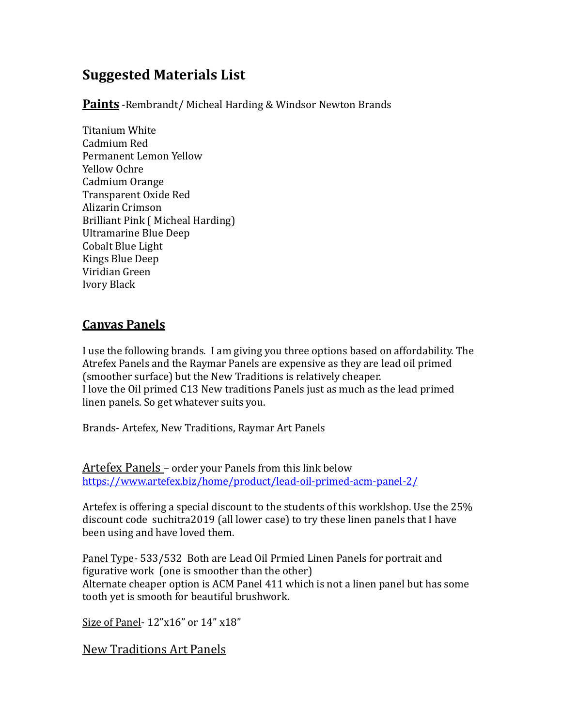# **Suggested Materials List**

**Paints** - Rembrandt/ Micheal Harding & Windsor Newton Brands

Titanium White Cadmium Red Permanent Lemon Yellow Yellow Ochre Cadmium Orange Transparent Oxide Red Alizarin Crimson Brilliant Pink (Micheal Harding) Ultramarine Blue Deep Cobalt Blue Light Kings Blue Deep Viridian Green Ivory Black 

## **Canvas Panels**

I use the following brands. I am giving you three options based on affordability. The Atrefex Panels and the Raymar Panels are expensive as they are lead oil primed (smoother surface) but the New Traditions is relatively cheaper. I love the Oil primed C13 New traditions Panels just as much as the lead primed linen panels. So get whatever suits you.

Brands- Artefex, New Traditions, Raymar Art Panels

Artefex Panels - order your Panels from this link below <https://www.artefex.biz/home/product/lead-oil-primed-acm-panel-2/>

Artefex is offering a special discount to the students of this worklshop. Use the  $25\%$ discount code suchitra2019 (all lower case) to try these linen panels that I have been using and have loved them.

Panel Type- 533/532 Both are Lead Oil Prmied Linen Panels for portrait and figurative work (one is smoother than the other) Alternate cheaper option is ACM Panel  $411$  which is not a linen panel but has some tooth yet is smooth for beautiful brushwork.

Size of Panel- $12"x16"$  or  $14"x18"$ 

New Traditions Art Panels